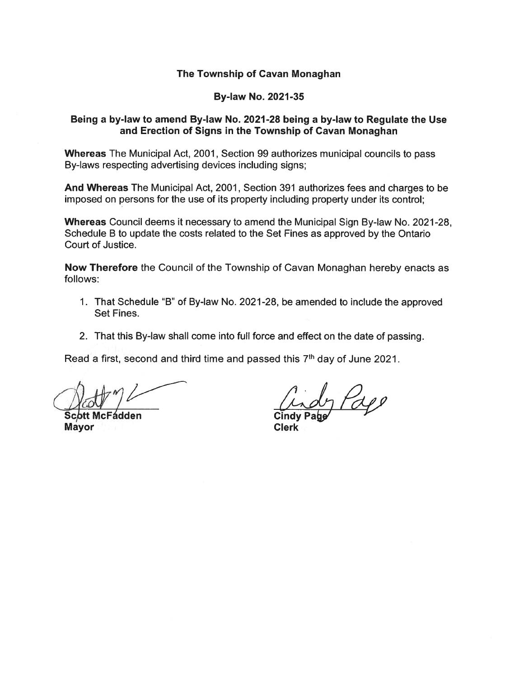### The Township of Cavan Monaghan

#### By-law No. 2021-35

### Being <sup>a</sup> by-law to amend By-law No. 2021-28 being <sup>a</sup> by-law to Regulate the Use and Erection of Signs in the Township of Cavan Monaghan

Whereas The Municipal Act, 2001, Section 99 authorizes municipal councils to pass By-laws respecting advertising devices including signs;

And Whereas The Municipal Act, 2001, Section 391 authorizes fees and charges to be imposed on persons for the use of its property including property under its control;

Whereas Council deems it necessary to amend the Municipal Sign By-law No. 2021-28, Schedule B to update the costs related to the Set Fines as approved by the Ontario Court of Justice.

Now Therefore the Council of the Township of Cavan Monaghan hereby enacts as follows:

- 1. That Schedule "B" of By-law No. 2021-28, be amended to include the approved Set Fines.
- 2. That this By-law shall come into full force and effect on the date of passing.

Read a first, second and third time and passed this  $7<sup>th</sup>$  day of June 2021.

›tt McFádden Mayor

Page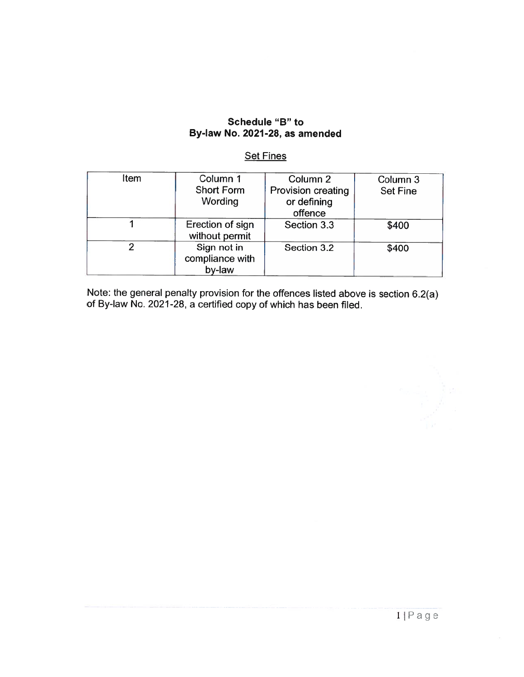### Schedule "B" to By-law No. 2021 -28, as amended

#### Set Fines

| Item | Column 1<br><b>Short Form</b><br>Wording | Column 2<br>Provision creating<br>or defining | Column 3<br><b>Set Fine</b> |
|------|------------------------------------------|-----------------------------------------------|-----------------------------|
|      |                                          | offence                                       |                             |
|      | Erection of sign<br>without permit       | Section 3.3                                   | \$400                       |
|      | Sign not in<br>compliance with<br>by-law | Section 3.2                                   | \$400                       |

Note: the general penalty provision for the offences listed above is section 6.2(a) of By-law No. 2021-28, <sup>a</sup> certified copy of which has been filed.

ilPage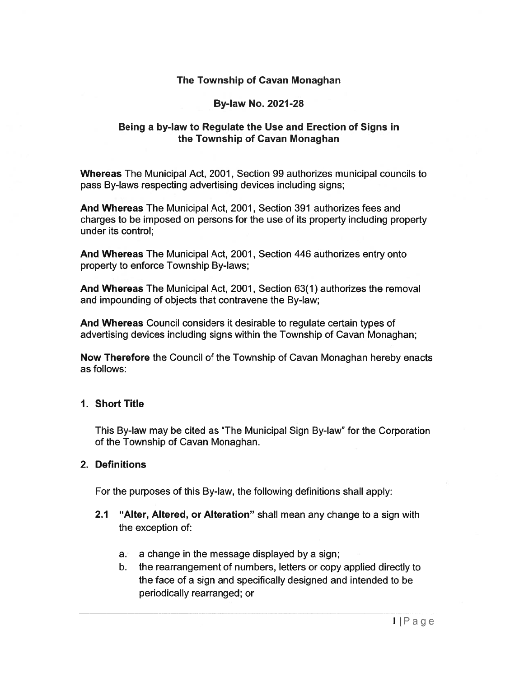### The Township of Cavan Monaghan

### By-law No. 2021-28

### Being <sup>a</sup> by-law to Regulate the Use and Erection of Signs in the Township of Cavan Monaghan

Whereas The Municipal Act, 2001, Section 99 authorizes municipal councils to pass By-laws respecting advertising devices including signs;

And Whereas The Municipal Act, 2001, Section 391 authorizes fees and charges to be imposed on persons for the use of its property including property under its control;

And Whereas The Municipal Act, 2001, Section 446 authorizes entry onto property to enforce Township By-laws;

And Whereas The Municipal Act, 2001, Section 63(1) authorizes the removal and impounding of objects that contravene the By-law;

And Whereas Council considers it desirable to regulate certain types of advertising devices including signs within the Township of Cavan Monaghan;

Now Therefore the Council of the Township of Cavan Monaghan hereby enacts as follows:

### 1. Short Title

This By-law may be cited as "The Municipal Sign By-law" for the Corporation of the Township of Cavan Monaghan.

### 2. Definitions

For the purposes of this By-law, the following definitions shall apply:

- 2.1 "Alter, Altered, or Alteration" shall mean any change to a sign with the exception of:
	- a. <sup>a</sup> change in the message displayed by <sup>a</sup> sign;
	- b. the rearrangemen<sup>t</sup> of numbers, letters or copy applied directly to the face of <sup>a</sup> sign and specifically designed and intended to be periodically rearranged; or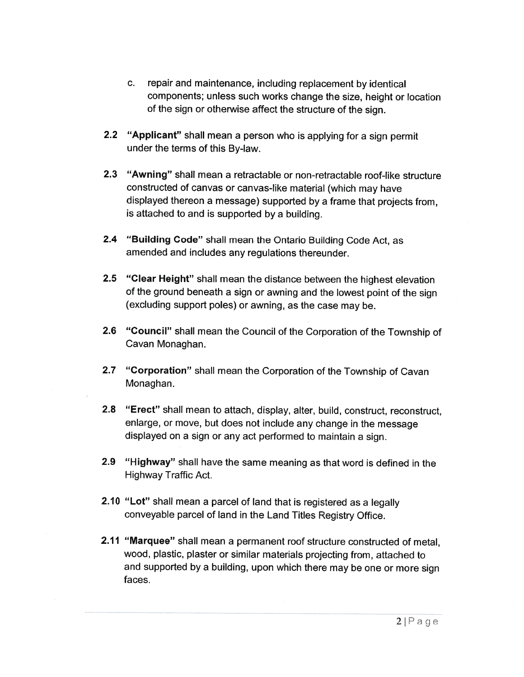- c. Fepair and maintenance, including replacement by identica components; unless such works change the size, height or location of the sign or otherwise affect the structure of the sign.
- **2.2 "Applicant"** shall mean a person who is applying for a sign permit under the terms of this By-law.
- 2.3 "Awning" shall mean <sup>a</sup> retractable or non-retractable roof-like structure constructed of canvas or canvas-like material (which may have displayed thereon <sup>a</sup> message) supported by <sup>a</sup> frame that projects from, is attached to and is supported by <sup>a</sup> building.
- 2.4 "Building Code" shall mean the Ontario Building Code Act, as amended and includes any regulations thereunder.
- 2.5 "Clear Height" shall mean the distance between the highest elevation of the ground beneath a sign or awning and the lowest point of the sigr (excluding support poles) or awning, as the case may be.
- 2.6 "Council" shall mean the Council of the Corporation of the Township of Cavan Monaghan.
- **2.7 "Corporation"** shall mean the Corporation of the Township of Cavar Monaghan.
- **2.8 "Erect"** shall mean to attach, display, alter, build, construct, reconstruct enlarge, or move, but does not include any change in the message displayed on <sup>a</sup> sign or any act performed to maintain <sup>a</sup> sign.
- **2.9 "Highway"** shall have the same meaning as that word is defined in the Highway Traffic Act.
- **2.10 "Lot"** shall mean a parcel of land that is registered as a legally conveyable parcel of land in the Land Titles Registry Office.
- 2.11 "Marquee" shall mean <sup>a</sup> permanent roof structure constructed of metal, wood, <sup>p</sup>lastic, <sup>p</sup>laster or similar materials projecting from, attached to and supported by <sup>a</sup> building, upon which there may be one or more sign faces.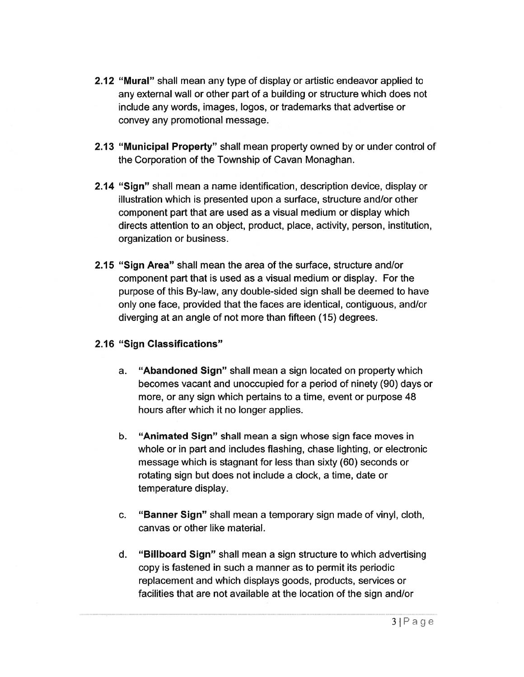- 2.12 "Mural" shall mean any type of display or artistic endeavor applied to any external wall or other par<sup>t</sup> of <sup>a</sup> building or structure which does not include any words, images, logos, or trademarks that advertise or convey any promotional message.
- 2.13 "Municipal Property" shall mean property owned by or under control of the Corporation of the Township of Cavan Monaghan.
- 2.14 "Sign" shall mean <sup>a</sup> name identification, description device, display or illustration which is presented upon <sup>a</sup> surface, structure and/or other componen<sup>t</sup> par<sup>t</sup> that are used as <sup>a</sup> visual medium or display which directs attention to an object, product, place, activity, person, institution, organization or business.
- 2.15 "Sign Area" shall mean the area of the surface, structure and/or componen<sup>t</sup> par<sup>t</sup> that is used as <sup>a</sup> visual medium or display. For the purpose of this By-law, any double-sided sign shall be deemed to have only one face, provided that the faces are identical, contiguous, and/or diverging at an angle of not more than fifteen (15) degrees.

## 2.16 "Sign Classifications"

- a. "Abandoned Sign" shall mean <sup>a</sup> sign located on property which becomes vacant and unoccupied for <sup>a</sup> period of ninety (90) days or more, or any sign which pertains to <sup>a</sup> time, event or purpose 48 hours after which it no longer applies.
- b. "Animated Sign" shall mean <sup>a</sup> sign whose sign face moves in whole or in par<sup>t</sup> and includes flashing, chase lighting, or electronic message which is stagnant for less than sixty (60) seconds or rotating sign but does not include <sup>a</sup> clock, <sup>a</sup> time, date or temperature display.
- c. "Banner Sign" shall mean <sup>a</sup> temporary sign made of vinyl, cloth, canvas or other like material.
- d. "Billboard Sign" shall mean <sup>a</sup> sign structure to which advertising copy is fastened in such <sup>a</sup> manner as to permit its periodic replacement and which displays goods, products, services or facilities that are not available at the location of the sign and/or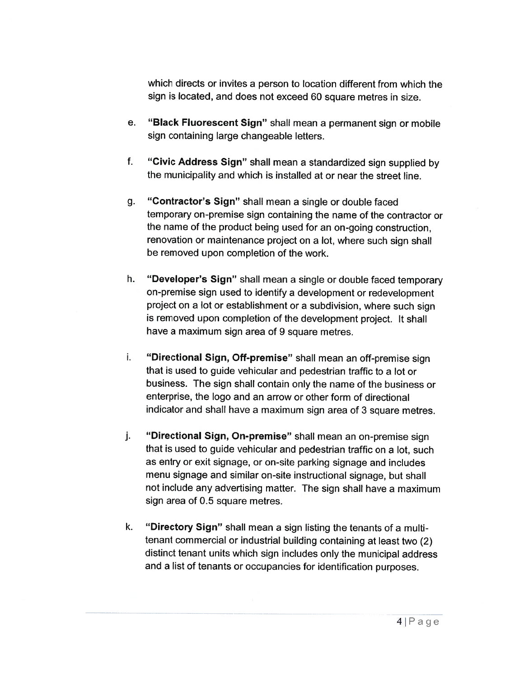which directs or invites <sup>a</sup> person to location different from which the sign is located, and does not exceed 60 square metres in size.

- e.. "**Black Fluorescent Sign**" shall mean a permanent sign or mobile sign containing large changeable letters.
- f.f. **"Civic Address Sign"** shall mean a standardized sign supplied by the municipality and which is installed at or near the street line.
- g. "Contractor's Sign" shall mean <sup>a</sup> single or double faced temporary on-premise sign containing the name of the contractor or the name of the product being used for an on-going construction, renovation or maintenance project on <sup>a</sup> lot, where such sign shall be removed upon completion of the work.
- h. "Developer's Sign" shall mean <sup>a</sup> single or double faced temporary on-premise sign used to identify <sup>a</sup> development or redevelopment project on <sup>a</sup> lot or establishment or <sup>a</sup> subdivision, where such sign is removed upon completion of the development project. It shall have a maximum sign area of 9 square metres.
- i. "Directional Sign, Off-premise" shall mean an off-premise sign that is used to guide vehicular and pedestrian traffic to <sup>a</sup> lot or business. The sign shall contain only the name of the business or enterprise, the logo and an arrow or other form of directional indicator and shall have <sup>a</sup> maximum sign area of 3 square metres.
- j. "Directional Sign, On-premise" shall mean an on-premise sign that is used to guide vehicular and pedestrian traffic on a lot, such as entry or exit signage, or on-site parking signage and includes menu signage and similar on-site instructional signage, but shall not include any advertising matter. The sign shall have <sup>a</sup> maximum sign area of 0.5 square metres.
- k. "Directory Sign" shall mean <sup>a</sup> sign listing the tenants of <sup>a</sup> multi tenant commercial or industrial building containing at least two (2) distinct tenant units which sign includes only the municipal address and a list of tenants or occupancies for identification purposes.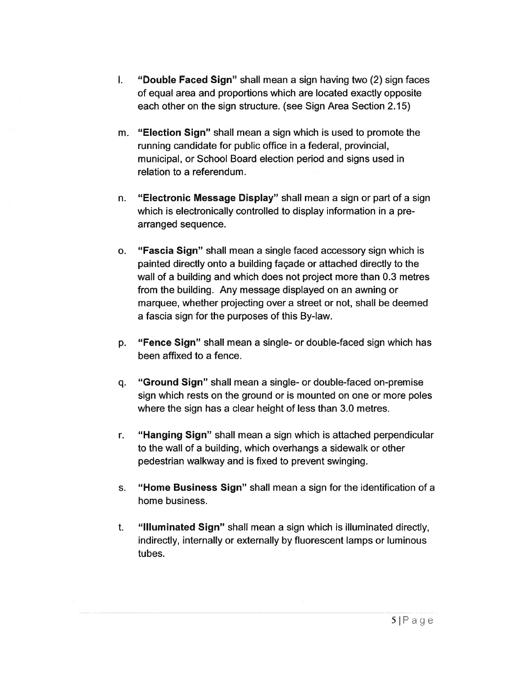- I. "Double Faced Sign" shall mean <sup>a</sup> sign having two (2) sign faces of equal area and proportions which are located exactly opposite each other on the sign structure. (see Sign Area Section 2.15)
- m. "Election Sign" shall mean <sup>a</sup> sign which is used to promote the running candidate for public office in <sup>a</sup> federal, provincial, municipal, or School Board election period and signs used in relation to <sup>a</sup> referendum.
- n. "Electronic Message Display" shall mean <sup>a</sup> sign or par<sup>t</sup> of <sup>a</sup> sign which is electronically controlled to display information in <sup>a</sup> pre arranged sequence.
- o. "Fascia Sign" shall mean <sup>a</sup> single faced accessory sign which is painted directly onto <sup>a</sup> building façade or attached directly to the wall of <sup>a</sup> building and which does not project more than 0.3 metres from the building. Any message displayed on an awning or marquee, whether projecting over <sup>a</sup> street or not, shall be deemed <sup>a</sup> fascia sign for the purposes of this By-law.
- p. "Fence Sign" shall mean <sup>a</sup> single- or double-faced sign which has been affixed to <sup>a</sup> fence.
- q. "Ground Sign" shall mean <sup>a</sup> single- or double-faced on-premise sign which rests on the ground or is mounted on one or more poles where the sign has <sup>a</sup> clear height of less than 3.0 metres.
- r. "Hanging Sign" shall mean <sup>a</sup> sign which is attached perpendicular to the wall of <sup>a</sup> building, which overhangs <sup>a</sup> sidewalk or other pedestrian walkway and is fixed to preven<sup>t</sup> swinging.
- s. "Home Business Sign" shall mean <sup>a</sup> sign for the identification of <sup>a</sup> home business.
- t. "Illuminated Sign" shall mean <sup>a</sup> sign which is illuminated directly, indirectly, internally or externally by fluorescent lamps or luminous tubes.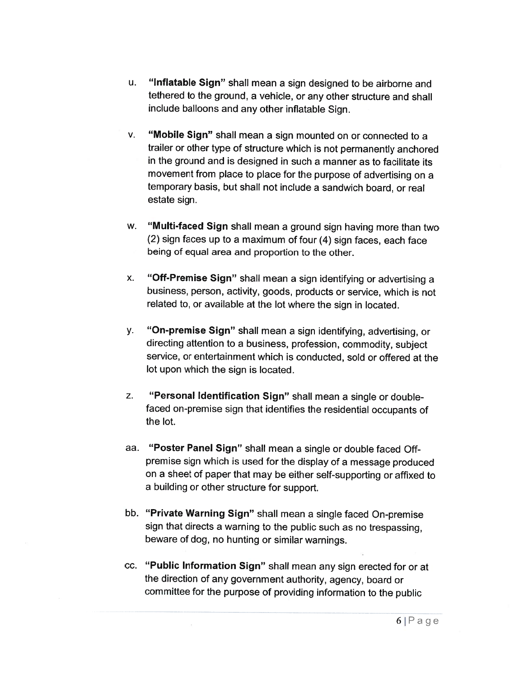- u.. "**Inflatable Sign**" shall mean a sign designed to be airborne and tethered to the ground, <sup>a</sup> vehicle, or any other structure and shall include balloons and any other inflatable Sign.
- v. "Mobile Sign" shall mean <sup>a</sup> sign mounted on or connected to <sup>a</sup> trailer or other type of structure which is not permanently anchored in the ground and is designed in such <sup>a</sup> manner as to facilitate its movement from <sup>p</sup>lace to <sup>p</sup>lace for the purpose of advertising on <sup>a</sup> temporary basis, but shall not include <sup>a</sup> sandwich board, or real estate sign.
- w.. **"Multi-faced Sign** shall mean a ground sign having more than two (2) sign faces up to <sup>a</sup> maximum of four (4) sign faces, each face being of equa<sup>l</sup> area and proportion to the other.
- x.. "**Off-Premise Sign**" shall mean a sign identifying or advertising a business, person, activity, goods, products or service, which is not related to, or available at the lot where the sign in located.
- y. "On-premise Sign" shall mean <sup>a</sup> sign identifying, advertising, or directing attention to <sup>a</sup> business, profession, commodity, subject service, or entertainment which is conducted, sold or offered at the lot upon which the sign is located.
- z. $\blacksquare$  "Personal Identification Sign" shall mean a single or doublefaced on-premise sign that identifies the residential occupants of the lot.
- aa. "Poster Panel Sign" shall mean <sup>a</sup> single or double faced Offpremise sign which is used for the display of <sup>a</sup> message produced on <sup>a</sup> sheet of paper that may be either self-supporting or affixed to a building or other structure for support.
- bb. "Private Warning Sign" shall mean <sup>a</sup> single faced On-premise sign that directs <sup>a</sup> warning to the public such as no trespassing, beware of dog, no hunting or similar warnings.
- cc. "Public Information Sign" shall mean any sign erected for or at the direction of any government authority, agency, board or committee for the purpose of providing information to the public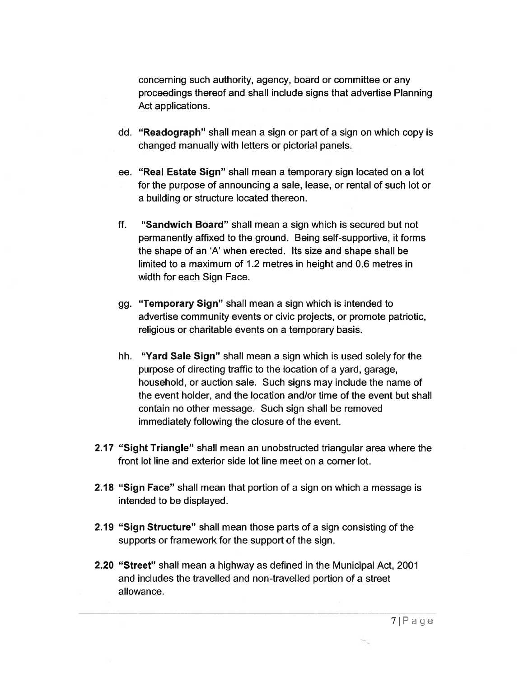concerning such authority, agency, board or committee or any proceedings thereof and shall include signs that advertise Planning Act applications.

- dd. "Readograph" shall mean <sup>a</sup> sign or par<sup>t</sup> of <sup>a</sup> sign on which copy is changed manually with letters or pictorial panels.
- ee. "Real Estate Sign" shall mean <sup>a</sup> temporary sign located on <sup>a</sup> lot for the purpose of announcing <sup>a</sup> sale, lease, or rental of such lot or <sup>a</sup> building or structure located thereon.
- if. "Sandwich Board" shall mean <sup>a</sup> sign which is secured but not permanently affixed to the ground. Being self-supportive, it forms the shape of an 'A' when erected. Its size and shape shall be limited to a maximum of 1.2 metres in height and 0.6 metres in width for each Sign Face.
- gg. "Temporary Sign" shall mean <sup>a</sup> sign which is intended to advertise community events or civic projects, or promote patriotic, religious or charitable events on <sup>a</sup> temporary basis.
- hh. "Yard Sale Sign" shall mean <sup>a</sup> sign which is used solely for the purpose of directing traffic to the location of a yard, garage, household, or auction sale. Such signs may include the name of the event holder, and the location and/or time of the event but shall contain no other message. Such sign shall be removed immediately following the closure of the event.
- 2.17 "Sight Triangle" shall mean an unobstructed triangular area where the front lot line and exterior side lot line meet on <sup>a</sup> corner lot.
- 2.18 "Sign Face" shall mean that portion of <sup>a</sup> sign on which <sup>a</sup> message is intended to be displayed.
- 2.19 "Sign Structure" shall mean those parts of <sup>a</sup> sign consisting of the supports or framework for the suppor<sup>t</sup> of the sign.
- 2.20 "Street" shall mean <sup>a</sup> highway as defined in the Municipal Act, 2001 and includes the travelled and non-travelled portion of <sup>a</sup> street allowance.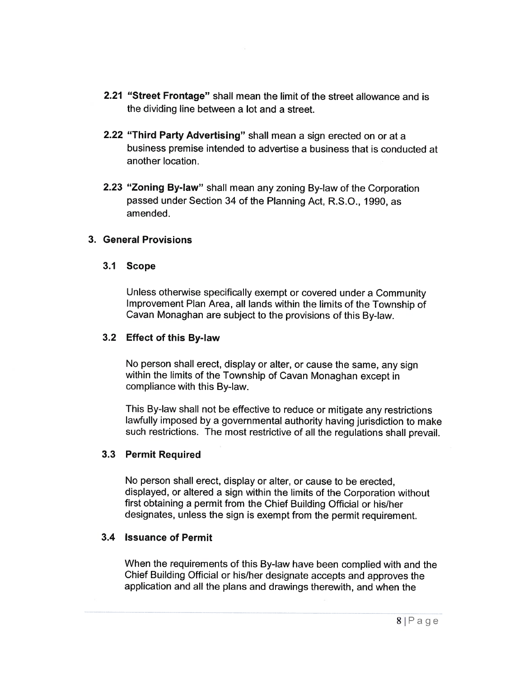- 2.21 "Street Frontage" shall mean the limit of the street allowance and is the dividing line between <sup>a</sup> lot and <sup>a</sup> street.
- 2.22 "Third Party Advertising" shall mean a sign erected on or at a business premise intended to advertise <sup>a</sup> business that is conducted at another location.
- **2.23 "Zoning By-law"** shall mean any zoning By-law of the Corporatior passed under Section 34 of the Planning Act, R.S.O., 1990, as amended.

## 3. General Provisions

### 3.1 Scope

Unless otherwise specifically exemp<sup>t</sup> or covered under <sup>a</sup> Community Improvement Plan Area, all lands within the limits of the Township of Cavan Monaghan are subject to the provisions of this By-law.

### 3.2 Effect of this By-law

No person shall erect, display or alter, or cause the same, any sign within the limits of the Township of Cavan Monaghan excep<sup>t</sup> in compliance with this By-law.

This By-law shall not be effective to reduce or mitigate any restrictions lawfully imposed by <sup>a</sup> governmental authority having jurisdiction to make such restrictions. The most restrictive of all the regulations shall prevail.

### 3.3 Permit Required

No person shall erect, display or alter, or cause to be erected, displayed, or altered <sup>a</sup> sign within the limits of the Corporation without first obtaining <sup>a</sup> permit from the Chief Building Official or his/her designates, unless the sign is exemp<sup>t</sup> from the permit requirement.

### 3.4 Issuance of Permit

When the requirements of this By-law have been complied with and the Chief Building Official or his/her designate accepts and approves the application and all the plans and drawings therewith, and when the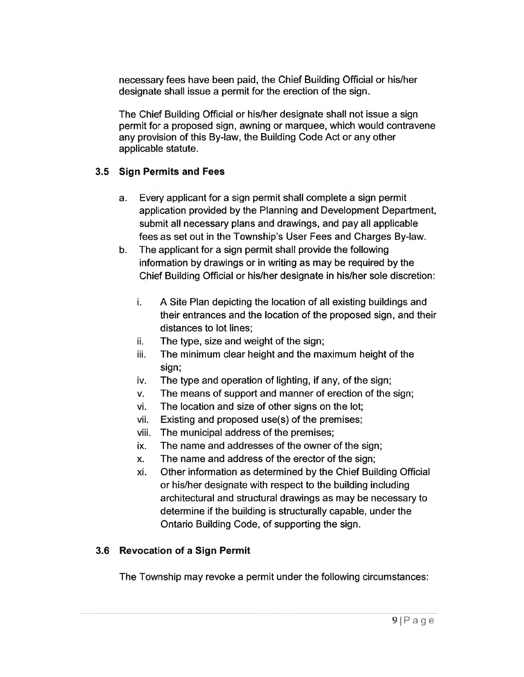necessary fees have been paid, the Chief Building Official or his/her designate shall issue <sup>a</sup> permit for the erection of the sign.

The Chief Building Official or his/her designate shall not issue <sup>a</sup> sign permit for <sup>a</sup> proposed sign, awning or marquee, which would contravene any provision of this By-law, the Building Code Act or any other applicable statute.

### 3.5 Sign Permits and Fees

- a. Every applicant for <sup>a</sup> sign permit shall complete <sup>a</sup> sign permit application provided by the Planning and Development Department, submit all necessary plans and drawings, and pay all applicable fees as set out in the Township's User Fees and Charges By-law.
- b. The applicant for <sup>a</sup> sign permit shall provide the following information by drawings or in writing as may be required by the Chief Building Official or his/her designate in his/her sole discretion:
	- i. A Site Plan depicting the location of all existing buildings and their entrances and the location of the proposed sign, and their distances to lot lines;
	- ii. The type, size and weight of the sign;
	- iii. The minimum clear height and the maximum height of the sign;
	- iv. The type and operation of lighting, if any, of the sign;
	- v. The means of suppor<sup>t</sup> and manner of erection of the sign;
	- vi. The location and size of other signs on the lot;
	- vii. Existing and proposed use(s) of the premises;
	- viii. The municipal address of the premises;
	- ix. The name and addresses of the owner of the sign;
	- x. The name and address of the erector of the sign;
	- xi. Other information as determined by the Chief Building Official or his/her designate with respec<sup>t</sup> to the building including architectural and structural drawings as may be necessary to determine if the building is structurally capable, under the Ontario Building Code, of supporting the sign.

### 3.6 Revocation of <sup>a</sup> Sign Permit

The Township may revoke <sup>a</sup> permit under the following circumstances: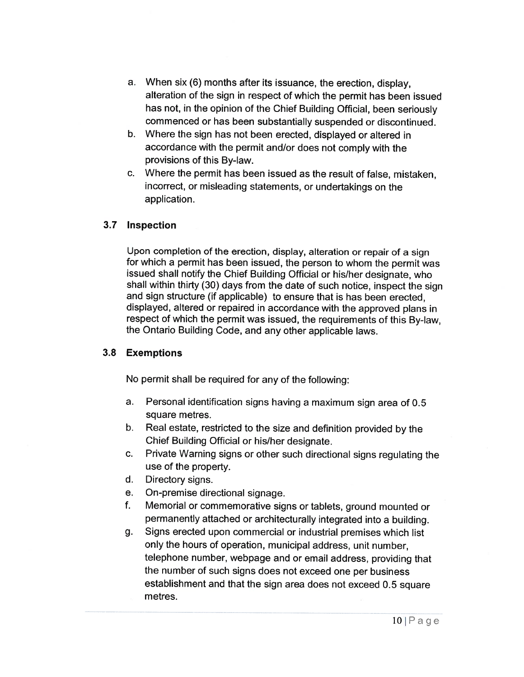- a. When six (6) months after its issuance, the erection, display, alteration of the sign in respect of which the permit has been issued has not, in the opinion of the Chief Building Official, been seriously commenced or has been substantially suspended or discontinued.
- b. Where the sign has not been erected, displayed or altered in accordance with the permit and/or does not comply with the provisions of this By-law.
- c. Where the permit has been issued as the result of false, mistaken, incorrect, or misleading statements, or undertakings on the application.

# 3.7 Inspection

Upon completion of the erection, display, alteration or repair of <sup>a</sup> sign for which a permit has been issued, the person to whom the permit was issued shall notify the Chief Building Official or his/her designate, who shall within thirty (30) days from the date of such notice, inspect the sign and sign structure (if applicable) to ensure that is has been erected, displayed, altered or repaired in accordance with the approved <sup>p</sup>lans in respect of which the permit was issued, the requirements of this By-law, the Ontario Building Code, and any other applicable laws.

## 3.8 Exemptions

No permit shall be required for any of the following:

- a. $\,$  Personal identification signs having a maximum sign area of 0.5  $\,$ square metres.
- b. $\blacksquare$  Real estate, restricted to the size and definition provided by the Chief Building Official or his/her designate.
- c. Private Warning signs or other such directional signs regulating the use of the property.
- d.Directory signs.
- e.On-premise directional signage.
- f. Memorial or commemorative signs or tablets, ground mounted or permanently attached or architecturally integrated into <sup>a</sup> building.
- g. Signs erected upon commercial or industrial premises which list only the hours of operation, municipal address, unit number, telephone number, webpage and or email address, providing that the number of such signs does not exceed one per business establishment and that the sign area does not exceed 0.5 square metres.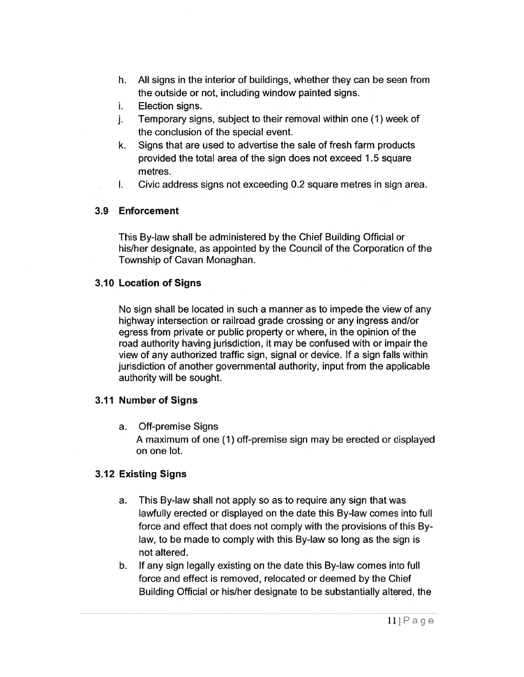- h. All signs in the interior of buildings, whether they can be seen from the outside or not, including window painted signs.
- i. Election signs.
- j. Temporary signs, subject to their removal within one (I) week of the conclusion of the special event.
- k. Signs that are used to advertise the sale of fresh farm products provided the total area of the sign does not exceed 1.5 square metres.
- I. Civic address signs not exceeding 0.2 square metres in sign area.

### 3.9 Enforcement

This By-law shall be administered by the Chief Building Official or his/her designate, as appointed by the Council of the Corporation of the Township of Cavan Monaghan.

### 3.10 Location of Signs

No sign shall be located in such <sup>a</sup> manner as to impede the view of any highway intersection or railroad grade crossing or any ingress and/or egress from private or public property or where, in the opinion of the road authority having jurisdiction, it may be confused with or impair the view of any authorized traffic sign, signal or device. If <sup>a</sup> sign falls within jurisdiction of another governmental authority, input from the applicable authority will be sought.

## 3.11 Number of Signs

a. Off-premise Signs

A maximum of one (1) off-premise sign may be erected or displayed on one lot.

## 3.12 Existing Signs

- a. This By-law shall not apply so as to require any sign that was lawfully erected or displayed on the date this By-law comes into full force and effect that does not comply with the provisions of this By law, to be made to comply with this By-law so long as the sign is not altered.
- b. If any sign legally existing on the date this By-law comes into full force and effect is removed, relocated or deemed by the Chief Building Official or his/her designate to be substantially altered, the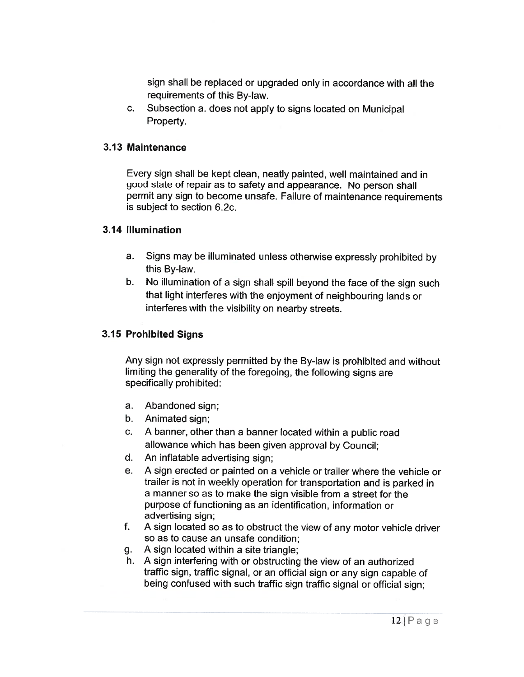sign shall be replaced or upgraded only in accordance with all the requirements of this By-law.

c. Subsection a. does not apply to signs located on Municipal Property.

### 3.13 Maintenance

Every sign shall be kept clean, neatly painted, well maintained and in good state of repair as to safety and appearance. No person shall permit any sign to become unsafe. Failure of maintenance requirements is subject to section 6.2c.

### 3.14 Illumination

- a. Signs may be illuminated unless otherwise expressly prohibited by this By-law.
- b. No illumination of <sup>a</sup> sign shall spill beyond the face of the sign such that light interferes with the enjoyment of neighbouring lands or interferes with the visibility on nearby streets.

## 3.15 Prohibited Signs

Any sign not expressly permitted by the By-law is prohibited and without limiting the generality of the foregoing, the following signs are specifically prohibited:

- a. Abandoned sign;
- b. Animated sign;
- c. A banner, other than a banner located within a public roac allowance which has been given approval by Council;
- d. An inflatable advertising sign;
- e. A sign erected or painted on <sup>a</sup> vehicle or trailer where the vehicle or trailer is not in weekly operation for transportation and is parked in a manner so as to make the sign visible from <sup>a</sup> street for the purpose of functioning as an identification, information or advertising sign;
- f. AA sign located so as to obstruct the view of any motor vehicle driver so as to cause an unsafe condition;
- g. <sup>A</sup> sign located within <sup>a</sup> site triangle;
- h. A sign interfering with or obstructing the view of an authorizec traffic sign, traffic signal, or an official sign or any sign capable of being confused with such traffic sign traffic signal or official sign;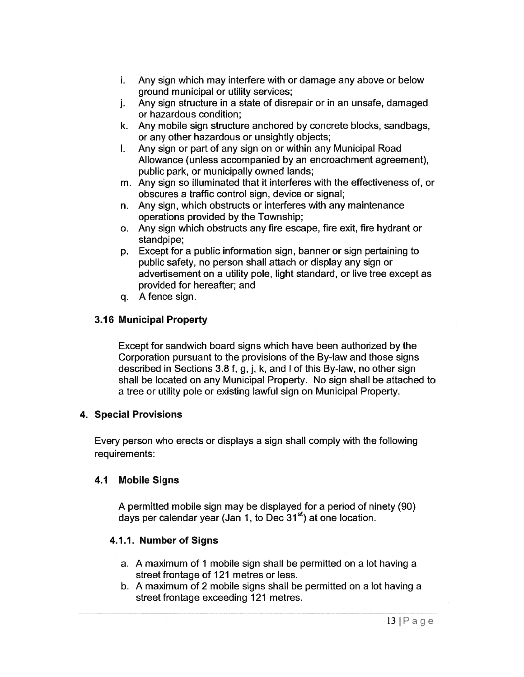- i. Any sign which may interfere with or damage any above or below ground municipal or utility services;
- j. Any sign structure in <sup>a</sup> state of disrepair or in an unsafe, damaged or hazardous condition;
- k. Any mobile sign structure anchored by concrete blocks, sandbags, or any other hazardous or unsightly objects;
- I. Any sign or par<sup>t</sup> of any sign on or within any Municipal Road Allowance (unless accompanied by an encroachment agreement), public park, or municipally owned lands;
- m. Any sign so illuminated that it interferes with the effectiveness of, or obscures <sup>a</sup> traffic control sign, device or signal;
- n. Any sign, which obstructs or interferes with any maintenance operations provided by the Township;
- o. Any sign which obstructs any fire escape, fire exit, fire hydrant or standpipe;
- p. Except for <sup>a</sup> public information sign, banner or sign pertaining to public safety, no person shall attach or display any sign or advertisement on <sup>a</sup> utility pole, light standard, or live tree excep<sup>t</sup> as provided for hereafter; and
- q. Afence sign.

## 3.16 Municipal Property

Except for sandwich board signs which have been authorized by the Corporation pursuan<sup>t</sup> to the provisions of the By-law and those signs described in Sections 3.8 f, g, j, k, and <sup>I</sup> of this By-law, no other sign shall be located on any Municipal Property. No sign shall be attached to <sup>a</sup> tree or utility pole or existing lawful sign on Municipal Property.

## 4. Special Provisions

Every person who erects or displays <sup>a</sup> sign shall comply with the following requirements:

# 4.1 Mobile Signs

A permitted mobile sign may be displayed for <sup>a</sup> period of ninety (90) days per calendar year (Jan 1, to Dec  $31<sup>st</sup>$ ) at one location.

# 4.1.1. Number of Signs

- a. A maximum of 1 mobile sign shall be permitted on <sup>a</sup> lot having <sup>a</sup> street frontage of 121 metres or less.
- b. A maximum of 2 mobile signs shall be permitted on <sup>a</sup> lot having <sup>a</sup> street frontage exceeding 121 metres.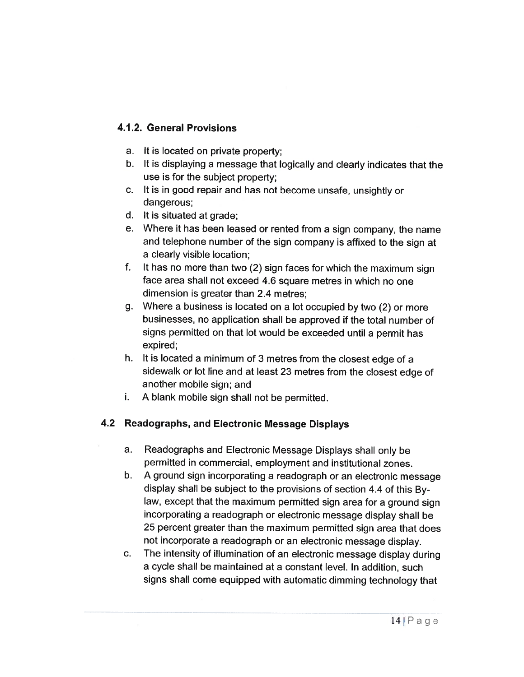# 4.1.2. General Provisions

- a. It is located on private property;
- b. It is displaying <sup>a</sup> message that logically and clearly indicates that the use is for the subject property;
- c. It is in goo<sup>d</sup> repair and has not become unsafe, unsightly or dangerous;
- d. It is situated at grade;
- e. Where it has been leased or rented from <sup>a</sup> sign company, the name and telephone number of the sign company is affixed to the sign at a clearly visible location;
- f. It has no more than two (2) sign faces for which the maximum sign face area shall not exceed 4.6 square metres in which no one dimension is greater than 2.4 metres;
- g. Where <sup>a</sup> business is located on <sup>a</sup> lot occupied by two (2) or more businesses, no application shall be approved if the total number of signs permitted on that lot would be exceeded until <sup>a</sup> permit has expired;
- h.  $\:$  It is located a minimum of 3 metres from the closest edge of  $\varepsilon$ sidewalk or lot line and at least 23 metres from the closest edge of another mobile sign; and
- i.A blank mobile sign shall not be permitted.

## 4.2 Readographs, and Electronic Message Displays

- a. Readographs and Electronic Message Displays shall only be permitted in commercial, employment and institutional zones.
- b. A groun<sup>d</sup> sign incorporating <sup>a</sup> readograph or an electronic message display shall be subject to the provisions of section 4.4 of this By law, excep<sup>t</sup> that the maximum permitted sign area for <sup>a</sup> groun<sup>d</sup> sign incorporating <sup>a</sup> readograph or electronic message display shall be 25 percen<sup>t</sup> greater than the maximum permitted sign area that does not incorporate <sup>a</sup> readograph or an electronic message display.
- c. The intensity of illumination of an electronic message display during a cycle shall be maintained at a constant level. In addition, such signs shall come equipped with automatic dimming technology that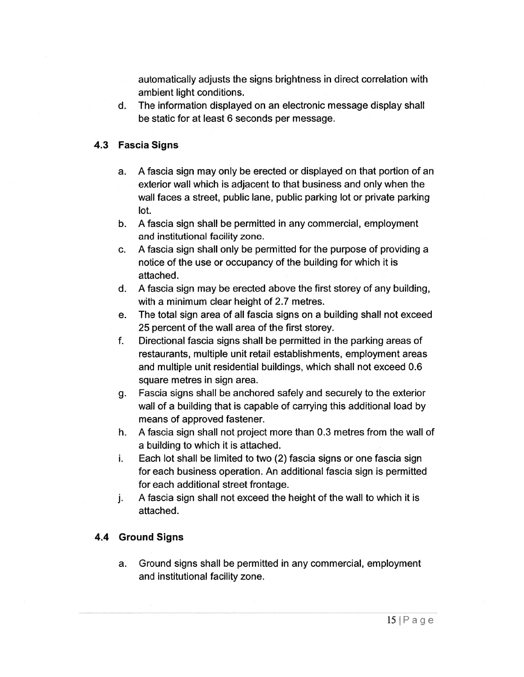automatically adjusts the signs brightness in direct correlation with ambient light conditions.

d. The information displayed on an electronic message display shall be static for at least 6 seconds per message.

## 4.3 Fascia Signs

- a. A fascia sign may only be erected or displayed on that portion of an exterior wall which is adjacent to that business and only when the wall faces <sup>a</sup> street, public lane, public parking lot or private parking lot.
- b. A fascia sign shall be permitted in any commercial, employment and institutional facility zone.
- c. A fascia sign shall only be permitted for the purpose of providing <sup>a</sup> notice of the use or occupancy of the building for which it is attached.
- d. A fascia sign may be erected above the first storey of any building, with <sup>a</sup> minimum clear height of 2.7 metres.
- e. The total sign area of all fascia signs on <sup>a</sup> building shall not exceed 25 percen<sup>t</sup> of the wall area of the first storey.
- f. Directional fascia signs shall be permitted in the parking areas of restaurants, multiple unit retail establishments, employment areas and multiple unit residential buildings, which shall not exceed 0.6 square metres in sign area.
- g. Fascia signs shall be anchored safely and securely to the exterior wall of <sup>a</sup> building that is capable of carrying this additional load by means of approved fastener.
- h. A fascia sign shall not project more than 0.3 metres from the wall of <sup>a</sup> building to which it is attached.
- i. Each lot shall be limited to two (2) fascia signs or one fascia sign for each business operation. An additional fascia sign is permitted for each additional street frontage.
- j. <sup>A</sup> fascia sign shall not exceed the height of the wall to which it is attached.

## 4.4 Ground Signs

a. Ground signs shall be permitted in any commercial, employment and institutional facility zone.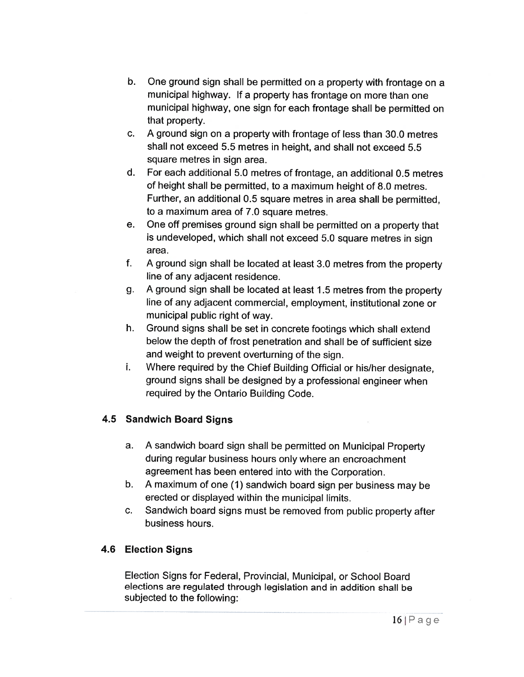- b. One ground sign shall be permitted on <sup>a</sup> property with frontage on <sup>a</sup> municipal highway. If <sup>a</sup> property has frontage on more than one municipal highway, one sign for each frontage shall be permitted on that property.
- c. A ground sign on <sup>a</sup> property with frontage of less than 30.0 metres shall not exceed 5.5 metres in height, and shall not exceed 5.5 square metres in sign area.
- d. For each additional 5.0 metres of frontage, an additional 0.5 metres of height shall be permitted, to <sup>a</sup> maximum height of 8.0 metres. Further, an additional 0.5 square metres in area shall be permitted, to <sup>a</sup> maximum area of 7.0 square metres.
- e. One off premises ground sign shall be permitted on <sup>a</sup> property that is undeveloped, which shall not exceed 5.0 square metres in sign area.
- f. A ground sign shall be located at least 3.0 metres from the property line of any adjacent residence.
- g. <sup>A</sup> ground sign shall be located at least <sup>1</sup> .5 metres from the property line of any adjacent commercial, employment, institutional zone or municipal public right of way.
- h. Ground signs shall be set in concrete footings which shall extend below the depth of frost penetration and shall be of sufficient size and weight to prevent overturning of the sign.
- i. Where required by the Chief Building Official or his/her designate, ground signs shall be designed by <sup>a</sup> professional engineer when required by the Ontario Building Code.

# 4.5 Sandwich Board Signs

- a. A sandwich board sign shall be permitted on Municipal Property during regular business hours only where an encroachment agreement has been entered into with the Corporation.
- b. A maximum of one (1) sandwich board sign per business may be erected or displayed within the municipal limits.
- c. Sandwich board signs must be removed from public property after business hours.

# 4.6 Election Signs

Election Signs for Federal, Provincial, Municipal, or School Board elections are regulated through legislation and in addition shall be subjected to the following: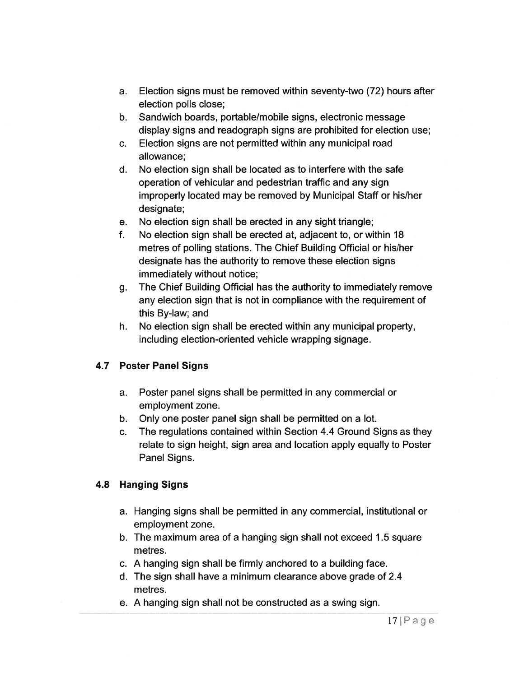- a. Election signs must be removed within seventy-two (72) hours after election polls close;
- b. Sandwich boards, portable/mobile signs, electronic message display signs and readograph signs are prohibited for election use;
- c. Election signs are not permitted within any municipal road allowance:
- d. No election sign shall be located as to interfere with the safe operation of vehicular and pedestrian traffic and any sign improperly located may be removed by Municipal Staff or his/her designate;
- e. No election sign shall be erected in any sight triangle;
- f. No election sign shall be erected at, adjacent to, or within 18 metres of polling stations. The Chief Building Official or his/her designate has the authority to remove these election signs immediately without notice;
- g. The Chief Building Official has the authority to immediately remove any election sign that is not in compliance with the requirement of this By-law; and
- h. No election sign shall be erected within any municipal property, including election-oriented vehicle wrapping signage.

# 4.7 Poster Panel Signs

- a. Poster panel signs shall be permitted in any commercial or employment zone.
- b. Only one poster panel sign shall be permitted on <sup>a</sup> lot.
- c. The regulations contained within Section 4.4 Ground Signs as they relate to sign height, sign area and location apply equally to Poster Panel Signs.

# 4.8 Hanging Signs

- a. Hanging signs shall be permitted in any commercial, institutional or employment zone.
- b. The maximum area of <sup>a</sup> hanging sign shall not exceed 1 .5 square metres.
- c. A hanging sign shall be firmly anchored to <sup>a</sup> building face.
- d. The sign shall have <sup>a</sup> minimum clearance above grade of 2.4 metres.
- e. A hanging sign shall not be constructed as <sup>a</sup> swing sign.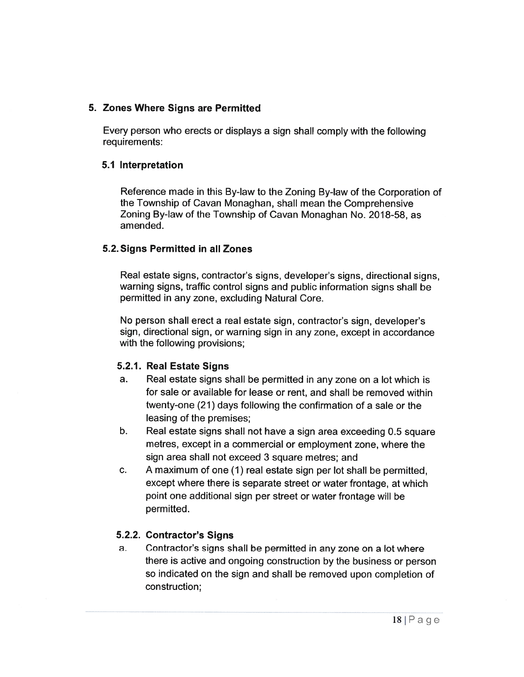## 5. Zones Where Signs are Permitted

Every person who erects or displays <sup>a</sup> sign shall comply with the following requirements:

### 5.1 Interpretation

Reference made in this By-law to the Zoning By-law of the Corporation of the Township of Cavan Monaghan, shall mean the Comprehensive Zoning By-law of the Township of Cavan Monaghan No. 2018-58, as amended.

### 5.2. Signs Permitted in all Zones

Real estate signs, contractor's signs, developer's signs, directional signs, warning signs, traffic control signs and public information signs shall be permitted in any zone, excluding Natural Core.

No person shall erect <sup>a</sup> real estate sign, contractor's sign, developer's sign, directional sign, or warning sign in any zone, excep<sup>t</sup> in accordance with the following provisions;

## 5.2.1. Real Estate Signs

- a.. Real estate signs shall be permitted in any zone on a lot which is for sale or available for lease or rent, and shall be removed within twenty-one (21) days following the confirmation of <sup>a</sup> sale or the leasing of the premises;
- b.. Real estate signs shall not have a sign area exceeding 0.5 square metres, excep<sup>t</sup> in <sup>a</sup> commercial or employment zone, where the sign area shall not exceed 3 square metres; and
- c. A maximum of one (1) real estate sign per lot shall be permitted, excep<sup>t</sup> where there is separate street or water frontage, at which point one additional sign per street or water frontage will be permitted.

## 5.2.2. Contractor's Signs

a. Contractor's signs shall be permitted in any zone on <sup>a</sup> lot where there is active and ongoing construction by the business or person so indicated on the sign and shall be removed upon completion of construction;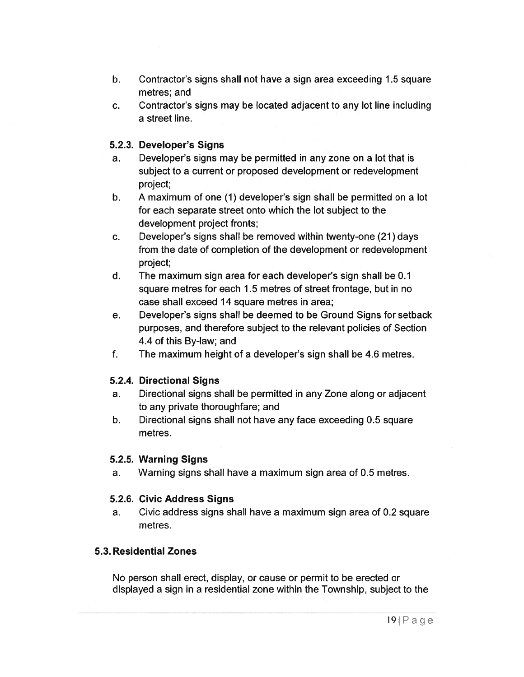- b. Contractor's signs shall not have <sup>a</sup> sign area exceeding 1 .5 square metres; and
- c. Contractor's signs may be located adjacent to any lot line including <sup>a</sup> street line.

## 5.2.3. Developer's Signs

- a. Developer's signs may be permitted in any zone on <sup>a</sup> lot that is subject to <sup>a</sup> current or proposed development or redevelopment project;
- b. A maximum of one (1) developer's sign shall be permitted on <sup>a</sup> lot for each separate street onto which the lot subject to the development project fronts;
- c. Developer's signs shall be removed within twenty-one (21) days from the date of completion of the development or redevelopment project;
- d. The maximum sign area for each developer's sign shall be 0.1 square metres for each 1 .5 metres of street frontage, but in no case shall exceed 14 square metres in area;
- e. Developer's signs shall be deemed to be Ground Signs for setback purposes, and therefore subject to the relevant policies of Section 4.4 of this By-law; and
- f. The maximum height of <sup>a</sup> developer's sign shall be 4.6 metres.

# 5.2.4. Directional Signs

- a. Directional signs shall be permitted in any Zone along or adjacent to any private thoroughfare; and
- b. Directional signs shall not have any face exceeding 0.5 square metres.

# 5.2.5. Warning Signs

a. Warning signs shall have <sup>a</sup> maximum sign area of 0.5 metres.

## 5.2.6. Civic Address Signs

a. Civic address signs shall have <sup>a</sup> maximum sign area of 0.2 square metres.

# 5.3. Residential Zones

No person shall erect, display, or cause or permit to be erected or displayed <sup>a</sup> sign in <sup>a</sup> residential zone within the Township, subject to the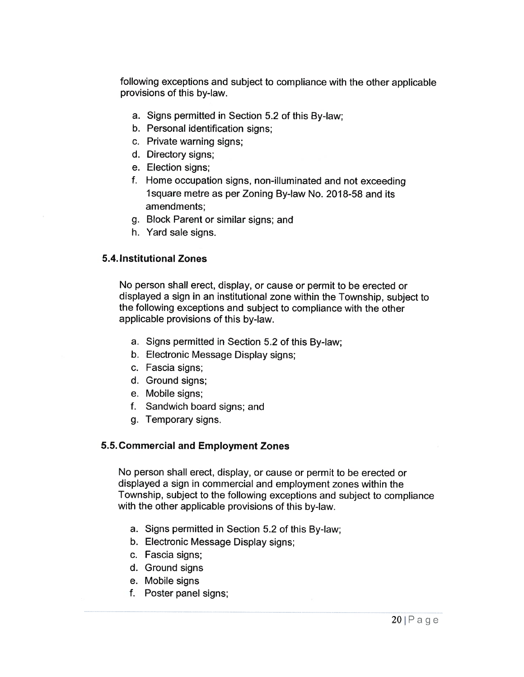following exceptions and subject to compliance with the other applicable provisions of this by-law.

- a. Signs permitted in Section 5.2 of this By-law;
- b. Personal identification signs;
- c. Private warning signs;
- d. Directory signs;
- e. Election signs;
- f. Home occupation signs, non-illuminated and not exceeding 11 square metre as per Zoning By-law No. 2018-58 and its amendments;
- g. Block Parent or similar signs; and
- h. Yard sale signs.

### 5.4. Institutional Zones

No person shall erect, display, or cause or permit to be erected or displayed <sup>a</sup> sign in an institutional zone within the Township, subject to the following exceptions and subject to compliance with the other applicable provisions of this by-law.

- a. Signs permitted in Section 5.2 of this By-law;
- b. Electronic Message Display signs;
- c. Fascia signs;
- d. Ground signs;
- e. Mobile signs;
- f. Sandwich board signs; and
- g. Temporary signs.

## 5.5. Commercial and Employment Zones

No person shall erect, display, or cause or permit to be erected or displayed <sup>a</sup> sign in commercial and employment zones within the Township, subject to the following exceptions and subject to compliance with the other applicable provisions of this by-law.

- a. Signs permitted in Section 5.2 of this By-law;
- b. Electronic Message Display signs;
- c. Fascia signs;
- d. Ground signs
- e. Mobile signs
- f. Poster panel signs;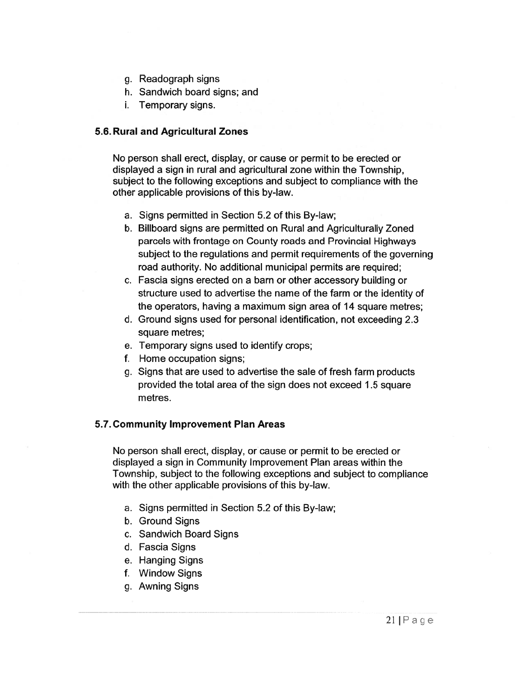- g. Readograph signs
- h. Sandwich board signs; and
- i. Temporary signs.

#### 5.6. Rural and Agricultural Zones

No person shall erect, display, or cause or permit to be erected or displayed <sup>a</sup> sign in rural and agricultural zone within the Township, subject to the following exceptions and subject to compliance with the other applicable provisions of this by-law.

- a. Signs permitted in Section 5.2 of this By-law;
- b. Billboard signs are permitted on Rural and Agriculturally Zoned parcels with frontage on County roads and Provincial Highways subject to the regulations and permit requirements of the governing road authority. No additional municipal permits are required;
- c. Fascia signs erected on <sup>a</sup> barn or other accessory building or structure used to advertise the name of the farm or the identity of the operators, having <sup>a</sup> maximum sign area of 14 square metres;
- d. Ground signs used for personal identification, not exceeding 2.3 square metres;
- e. Temporary signs used to identify crops;
- f. Home occupation signs;
- g. Signs that are used to advertise the sale of fresh farm products provided the total area of the sign does not exceed 1 .5 square metres.

#### 5.7. Community Improvement Plan Areas

No person shall erect, display, or cause or permit to be erected or displayed <sup>a</sup> sign in Community Improvement Plan areas within the Township, subject to the following exceptions and subject to compliance with the other applicable provisions of this by-law.

- a. Signs permitted in Section 5.2 of this By-law;
- b. Ground Signs
- c. Sandwich Board Signs
- d. Fascia Signs
- e. Hanging Signs
- f. Window Signs
- g. Awning Signs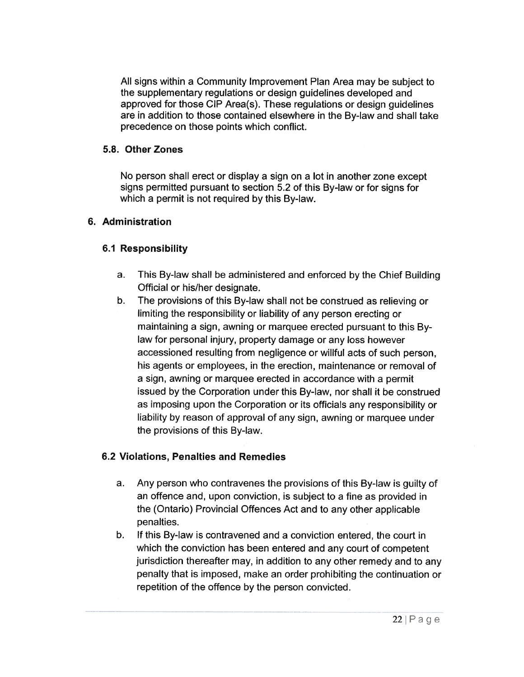All signs within <sup>a</sup> Community Improvement Plan Area may be subject to the supplementary regulations or design guidelines developed and approved for those CIP Area(s). These regulations or design guidelines are in addition to those contained elsewhere in the By-law and shall take precedence on those points which conflict.

### 5.8. Other Zones

No person shall erect or display <sup>a</sup> sign on <sup>a</sup> lot in another zone excep<sup>t</sup> signs permitted pursuan<sup>t</sup> to section 5.2 of this By-law or for signs for which <sup>a</sup> permit is not required by this By-law.

### 6. Administration

## 6.1 Responsibility

- a. This By-law shall be administered and enforced by the Chief Building Official or his/her designate.
- b. The provisions of this By-law shall not be construed as relieving or limiting the responsibility or liability of any person erecting or maintaining <sup>a</sup> sign, awning or marquee erected pursuan<sup>t</sup> to this By law for personal injury, property damage or any loss however accessioned resulting from negligence or willful acts of such person, his agents or employees, in the erection, maintenance or removal of a sign, awning or marquee erected in accordance with <sup>a</sup> permit issued by the Corporation under this By-law, nor shall it be construed as imposing upon the Corporation or its officials any responsibility or liability by reason of approval of any sign, awning or marquee under the provisions of this By-law.

## 6.2 Violations, Penalties and Remedies

- a. Any person who contravenes the provisions of this By-law is guilty of an offence and, upon conviction, is subject to <sup>a</sup> fine as provided in the (Ontario) Provincial Offences Act and to any other applicable penalties.
- b. If this By-law is contravened and <sup>a</sup> conviction entered, the court in which the conviction has been entered and any court of competent jurisdiction thereafter may, in addition to any other remedy and to any penalty that is imposed, make an order prohibiting the continuation or repetition of the offence by the person convicted.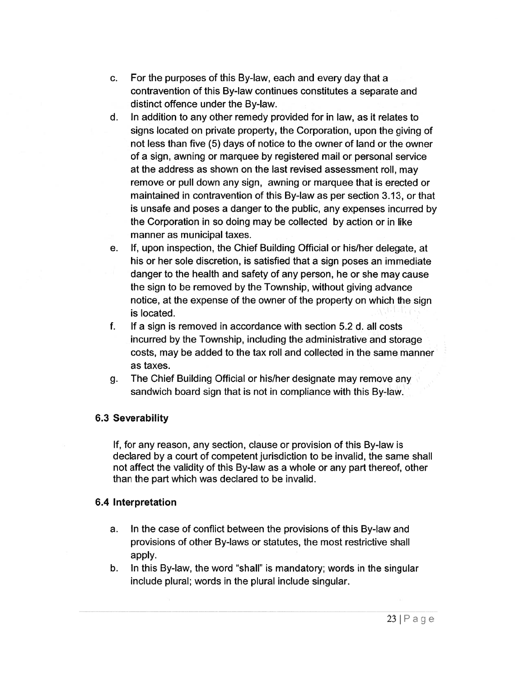- c. For the purposes of this By-law, each and every day that <sup>a</sup> contravention of this By-law continues constitutes <sup>a</sup> separate and distinct offence under the By-law.
- d. In addition to any other remedy provided for in law, as it relates to signs located on private property, the Corporation, upon the giving of not less than five (5) days of notice to the owner of land or the owner of <sup>a</sup> sign, awning or marquee by registered mail or personal service at the address as shown on the last revised assessment roll, may remove or pull down any sign, awning or marquee that is erected or maintained in contravention of this By-law as per section 3.13, or that is unsafe and poses <sup>a</sup> danger to the public, any expenses incurred by the Corporation in so doing may be collected by action or in like manner as municipal taxes.
- e. If, upon inspection, the Chief Building Official or his/her delegate, at his or her sole discretion, is satisfied that <sup>a</sup> sign poses an immediate danger to the health and safety of any person, he or she may cause the sign to be removed by the Township, without giving advance notice, at the expense of the owner of the property on which the sign is located.
- f. If <sup>a</sup> sign is removed in accordance with section 5.2 d. all costs incurred by the Township, including the administrative and storage costs, may be added to the tax roll and collected in the same manner as taxes.
- g. The Chief Building Official or his/her designate may remove any sandwich board sign that is not in compliance with this By-law.

## 6.3 Severability

If, for any reason, any section, clause or provision of this By-law is declared by <sup>a</sup> court of competent jurisdiction to be invalid, the same shall not affect the validity of this By-law as <sup>a</sup> whole or any par<sup>t</sup> thereof, other than the par<sup>t</sup> which was declared to be invalid.

### 6.4 Interpretation

- a. In the case of conflict between the provisions of this By-law and provisions of other By-laws or statutes, the most restrictive shall apply.
- b. In this By-law, the word "shall" is mandatory; words in the singular include plural; words in the plural include singular.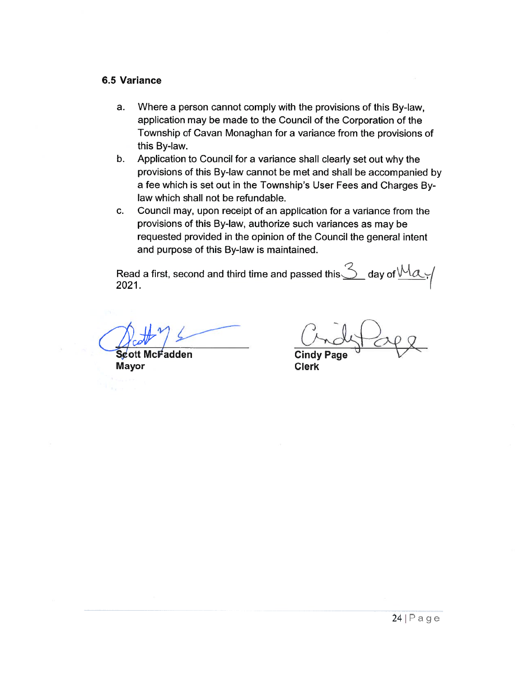#### 6.5 Variance

- a. Where a person cannot comply with the provisions of this By-law, application may be made to the Council of the Corporation of the Township of Cavan Monaghan for <sup>a</sup> variance from the provisions of this By-law.
- b. Application to Council for <sup>a</sup> variance shall clearly set out why the provisions of this By-law cannot be met and shall be accompanied by a fee which is set out in the Township's User Fees and Charges By law which shall not be refundable.
- c. Council may, upon receipt of an application for <sup>a</sup> variance from the provisions of this By-law, authorize such variances as may be requested provided in the opinion of the Council the general intent and purpose of this By-law is maintained.

Read a first, second and third time and passed this $\bigcirc$  day of  $\vee\vee\alpha$  ;  $\mid$ 2021.

Scott cFadden Mayor **Clerk** 

Cindy Page \/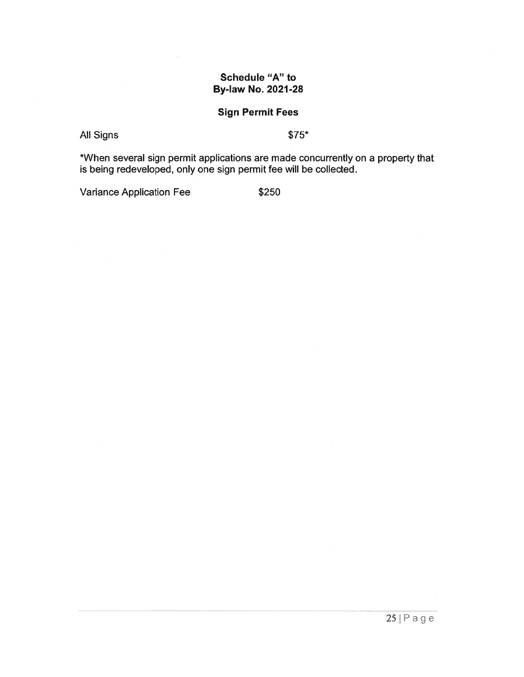## Schedule "A" to By-law No. 2021-28

## Sign Permit Fees

All Signs \$75\*

\*When several sign permit applications are made concurrently on <sup>a</sup> property that is being redeveloped, only one sign permit fee will be collected.

Variance Application Fee \$250